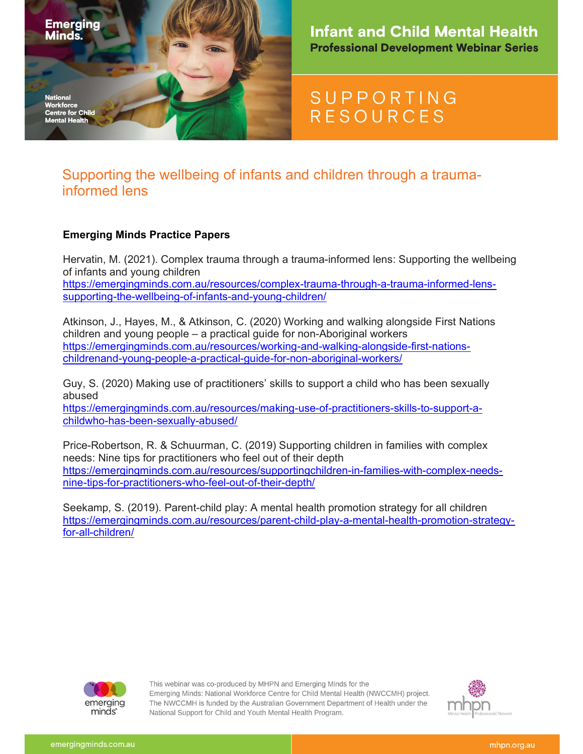

# **SUPPORTING RESOURCES**

## Supporting the wellbeing of infants and children through a traumainformed lens

### Emerging Minds Practice Papers

Hervatin, M. (2021). Complex trauma through a trauma-informed lens: Supporting the wellbeing of infants and young children https://emergingminds.com.au/resources/complex-trauma-through-a-trauma-informed-lenssupporting-the-wellbeing-of-infants-and-young-children/

Atkinson, J., Hayes, M., & Atkinson, C. (2020) Working and walking alongside First Nations children and young people – a practical guide for non-Aboriginal workers https://emergingminds.com.au/resources/working-and-walking-alongside-first-nationschildrenand-young-people-a-practical-guide-for-non-aboriginal-workers/

Guy, S. (2020) Making use of practitioners' skills to support a child who has been sexually abused

https://emergingminds.com.au/resources/making-use-of-practitioners-skills-to-support-achildwho-has-been-sexually-abused/

Price-Robertson, R. & Schuurman, C. (2019) Supporting children in families with complex needs: Nine tips for practitioners who feel out of their depth https://emergingminds.com.au/resources/supportingchildren-in-families-with-complex-needsnine-tips-for-practitioners-who-feel-out-of-their-depth/

Seekamp, S. (2019). Parent-child play: A mental health promotion strategy for all children https://emergingminds.com.au/resources/parent-child-play-a-mental-health-promotion-strategyfor-all-children/



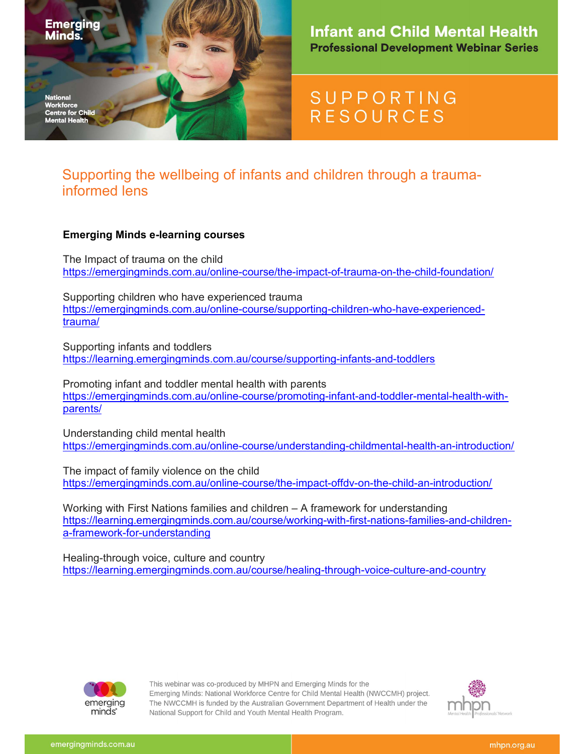

# **SUPPORTING RESOURCES**

## Supporting the wellbeing of infants and children through a traumainformed lens

### Emerging Minds e-learning courses

The Impact of trauma on the child https://emergingminds.com.au/online-course/the-impact-of-trauma-on-the-child-foundation/

Supporting children who have experienced trauma https://emergingminds.com.au/online-course/supporting-children-who-have-experiencedtrauma/

Supporting infants and toddlers https://learning.emergingminds.com.au/course/supporting-infants-and-toddlers

Promoting infant and toddler mental health with parents https://emergingminds.com.au/online-course/promoting-infant-and-toddler-mental-health-withparents/

Understanding child mental health https://emergingminds.com.au/online-course/understanding-childmental-health-an-introduction/

The impact of family violence on the child https://emergingminds.com.au/online-course/the-impact-offdv-on-the-child-an-introduction/

Working with First Nations families and children – A framework for understanding https://learning.emergingminds.com.au/course/working-with-first-nations-families-and-childrena-framework-for-understanding

Healing-through voice, culture and country https://learning.emergingminds.com.au/course/healing-through-voice-culture-and-country



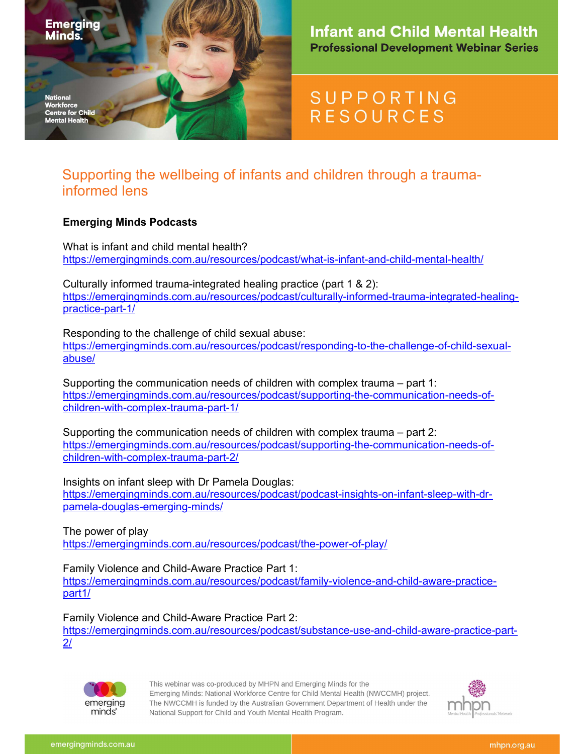

# **SUPPORTING RESOURCES**

## Supporting the wellbeing of infants and children through a traumainformed lens

### Emerging Minds Podcasts

What is infant and child mental health? https://emergingminds.com.au/resources/podcast/what-is-infant-and-child-mental-health/

Culturally informed trauma-integrated healing practice (part 1 & 2): https://emergingminds.com.au/resources/podcast/culturally-informed-trauma-integrated-healingpractice-part-1/

Responding to the challenge of child sexual abuse: https://emergingminds.com.au/resources/podcast/responding-to-the-challenge-of-child-sexualabuse/

Supporting the communication needs of children with complex trauma – part 1: https://emergingminds.com.au/resources/podcast/supporting-the-communication-needs-ofchildren-with-complex-trauma-part-1/

Supporting the communication needs of children with complex trauma – part 2: https://emergingminds.com.au/resources/podcast/supporting-the-communication-needs-ofchildren-with-complex-trauma-part-2/

Insights on infant sleep with Dr Pamela Douglas: https://emergingminds.com.au/resources/podcast/podcast-insights-on-infant-sleep-with-drpamela-douglas-emerging-minds/

The power of play https://emergingminds.com.au/resources/podcast/the-power-of-play/

Family Violence and Child-Aware Practice Part 1:

https://emergingminds.com.au/resources/podcast/family-violence-and-child-aware-practicepart1/

Family Violence and Child-Aware Practice Part 2:

https://emergingminds.com.au/resources/podcast/substance-use-and-child-aware-practice-part-2/



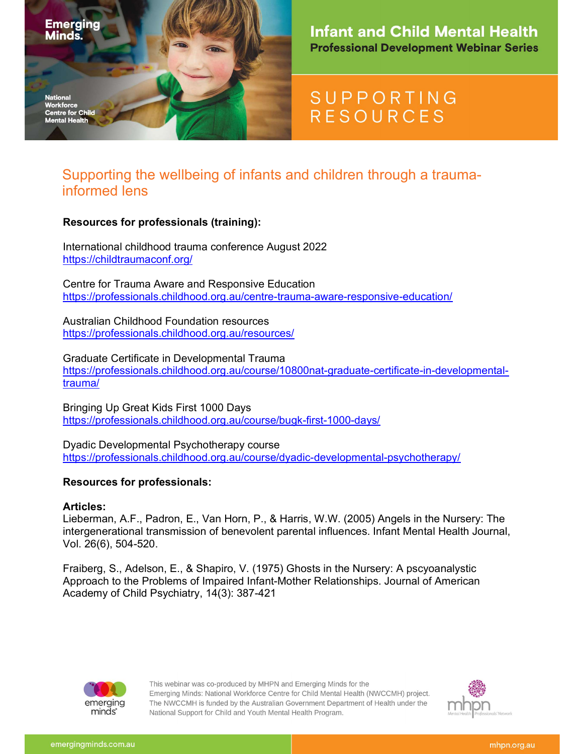

# **SUPPORTING RESOURCES**

## Supporting the wellbeing of infants and children through a traumainformed lens

#### Resources for professionals (training):

International childhood trauma conference August 2022 https://childtraumaconf.org/

Centre for Trauma Aware and Responsive Education https://professionals.childhood.org.au/centre-trauma-aware-responsive-education/

Australian Childhood Foundation resources https://professionals.childhood.org.au/resources/

Graduate Certificate in Developmental Trauma https://professionals.childhood.org.au/course/10800nat-graduate-certificate-in-developmentaltrauma/

Bringing Up Great Kids First 1000 Days https://professionals.childhood.org.au/course/bugk-first-1000-days/

Dyadic Developmental Psychotherapy course https://professionals.childhood.org.au/course/dyadic-developmental-psychotherapy/

#### Resources for professionals:

#### Articles:

Lieberman, A.F., Padron, E., Van Horn, P., & Harris, W.W. (2005) Angels in the Nursery: The intergenerational transmission of benevolent parental influences. Infant Mental Health Journal, Vol. 26(6), 504-520.

Fraiberg, S., Adelson, E., & Shapiro, V. (1975) Ghosts in the Nursery: A pscyoanalystic Approach to the Problems of Impaired Infant-Mother Relationships. Journal of American Academy of Child Psychiatry, 14(3): 387-421